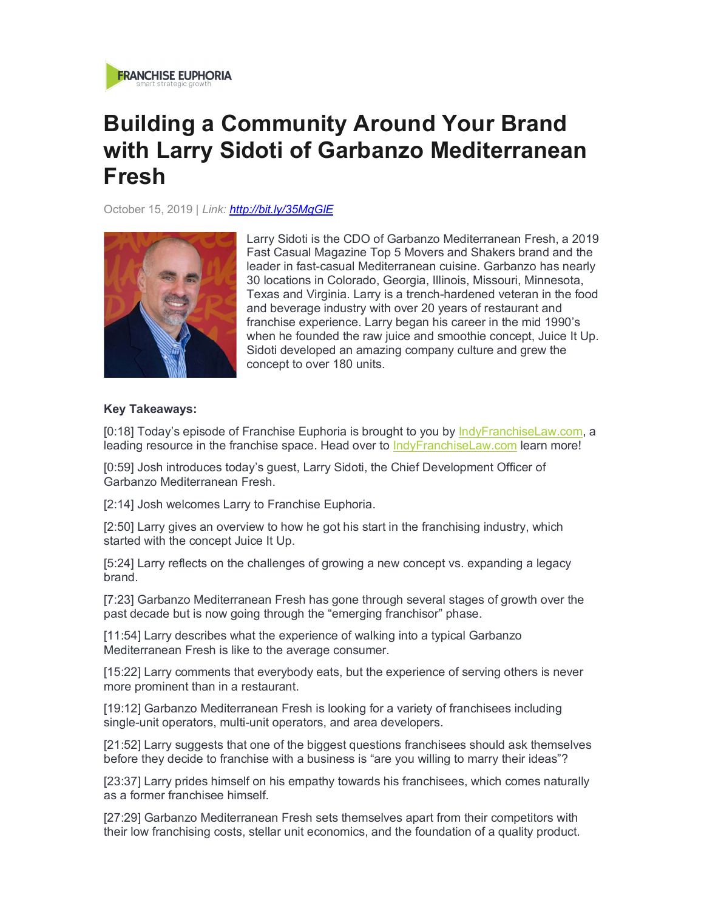

## **Building a Community Around Your Brand with Larry Sidoti of Garbanzo Mediterranean Fresh**

October 15, 2019 | *Link: http://bit.ly/35MgGlE*



Larry Sidoti is the CDO of Garbanzo Mediterranean Fresh, a 2019 Fast Casual Magazine Top 5 Movers and Shakers brand and the leader in fast-casual Mediterranean cuisine. Garbanzo has nearly 30 locations in Colorado, Georgia, Illinois, Missouri, Minnesota, Texas and Virginia. Larry is a trench-hardened veteran in the food and beverage industry with over 20 years of restaurant and franchise experience. Larry began his career in the mid 1990's when he founded the raw juice and smoothie concept, Juice It Up. Sidoti developed an amazing company culture and grew the concept to over 180 units.

## **Key Takeaways:**

[0:18] Today's episode of Franchise Euphoria is brought to you by IndyFranchiseLaw.com, a leading resource in the franchise space. Head over to IndyFranchiseLaw.com learn more!

[0:59] Josh introduces today's guest, Larry Sidoti, the Chief Development Officer of Garbanzo Mediterranean Fresh.

[2:14] Josh welcomes Larry to Franchise Euphoria.

[2:50] Larry gives an overview to how he got his start in the franchising industry, which started with the concept Juice It Up.

[5:24] Larry reflects on the challenges of growing a new concept vs. expanding a legacy brand.

[7:23] Garbanzo Mediterranean Fresh has gone through several stages of growth over the past decade but is now going through the "emerging franchisor" phase.

[11:54] Larry describes what the experience of walking into a typical Garbanzo Mediterranean Fresh is like to the average consumer.

[15:22] Larry comments that everybody eats, but the experience of serving others is never more prominent than in a restaurant.

[19:12] Garbanzo Mediterranean Fresh is looking for a variety of franchisees including single-unit operators, multi-unit operators, and area developers.

[21:52] Larry suggests that one of the biggest questions franchisees should ask themselves before they decide to franchise with a business is "are you willing to marry their ideas"?

[23:37] Larry prides himself on his empathy towards his franchisees, which comes naturally as a former franchisee himself.

[27:29] Garbanzo Mediterranean Fresh sets themselves apart from their competitors with their low franchising costs, stellar unit economics, and the foundation of a quality product.